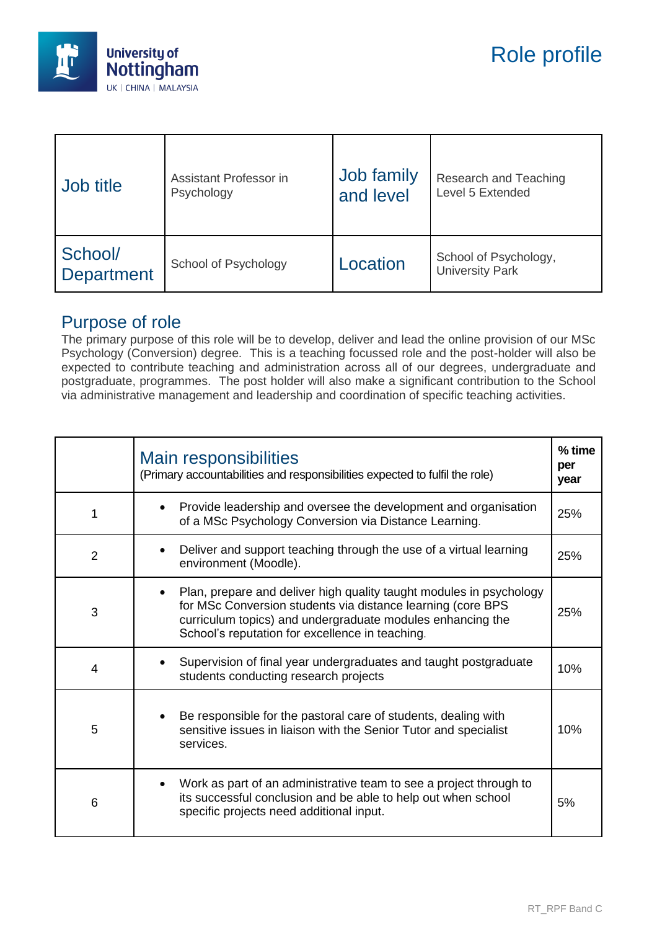

| Job title                    | Assistant Professor in | Job family | Research and Teaching                           |
|------------------------------|------------------------|------------|-------------------------------------------------|
|                              | Psychology             | and level  | Level 5 Extended                                |
| School/<br><b>Department</b> | School of Psychology   | Location   | School of Psychology,<br><b>University Park</b> |

## Purpose of role

The primary purpose of this role will be to develop, deliver and lead the online provision of our MSc Psychology (Conversion) degree. This is a teaching focussed role and the post-holder will also be expected to contribute teaching and administration across all of our degrees, undergraduate and postgraduate, programmes. The post holder will also make a significant contribution to the School via administrative management and leadership and coordination of specific teaching activities.

|                | Main responsibilities<br>(Primary accountabilities and responsibilities expected to fulfil the role)                                                                                                                                                | % time<br>per<br>year |
|----------------|-----------------------------------------------------------------------------------------------------------------------------------------------------------------------------------------------------------------------------------------------------|-----------------------|
| 1              | Provide leadership and oversee the development and organisation<br>$\bullet$<br>of a MSc Psychology Conversion via Distance Learning.                                                                                                               | 25%                   |
| $\overline{2}$ | Deliver and support teaching through the use of a virtual learning<br>environment (Moodle).                                                                                                                                                         | 25%                   |
| 3              | Plan, prepare and deliver high quality taught modules in psychology<br>for MSc Conversion students via distance learning (core BPS<br>curriculum topics) and undergraduate modules enhancing the<br>School's reputation for excellence in teaching. | 25%                   |
| $\overline{4}$ | Supervision of final year undergraduates and taught postgraduate<br>students conducting research projects                                                                                                                                           | 10%                   |
| 5              | Be responsible for the pastoral care of students, dealing with<br>sensitive issues in liaison with the Senior Tutor and specialist<br>services.                                                                                                     | 10%                   |
| 6              | Work as part of an administrative team to see a project through to<br>$\bullet$<br>its successful conclusion and be able to help out when school<br>specific projects need additional input.                                                        | 5%                    |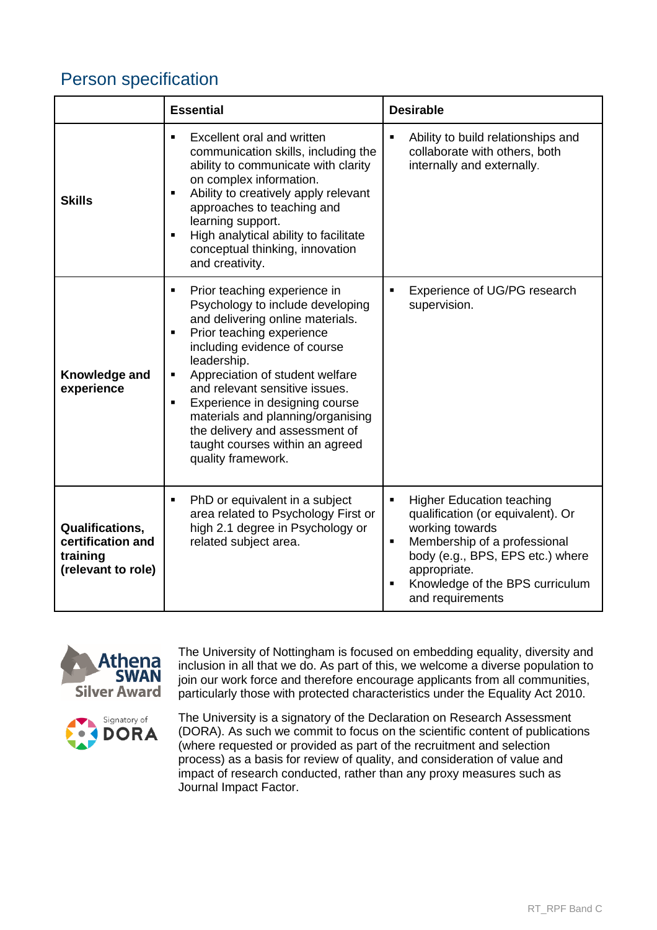## Person specification

|                                                                               | <b>Essential</b>                                                                                                                                                                                                                                                                                                                                                                                                                            | <b>Desirable</b>                                                                                                                                                                                                                                   |
|-------------------------------------------------------------------------------|---------------------------------------------------------------------------------------------------------------------------------------------------------------------------------------------------------------------------------------------------------------------------------------------------------------------------------------------------------------------------------------------------------------------------------------------|----------------------------------------------------------------------------------------------------------------------------------------------------------------------------------------------------------------------------------------------------|
| <b>Skills</b>                                                                 | Excellent oral and written<br>$\blacksquare$<br>communication skills, including the<br>ability to communicate with clarity<br>on complex information.<br>Ability to creatively apply relevant<br>٠<br>approaches to teaching and<br>learning support.<br>High analytical ability to facilitate<br>٠<br>conceptual thinking, innovation<br>and creativity.                                                                                   | Ability to build relationships and<br>п<br>collaborate with others, both<br>internally and externally.                                                                                                                                             |
| Knowledge and<br>experience                                                   | Prior teaching experience in<br>٠<br>Psychology to include developing<br>and delivering online materials.<br>Prior teaching experience<br>٠<br>including evidence of course<br>leadership.<br>Appreciation of student welfare<br>٠<br>and relevant sensitive issues.<br>Experience in designing course<br>٠<br>materials and planning/organising<br>the delivery and assessment of<br>taught courses within an agreed<br>quality framework. | Experience of UG/PG research<br>supervision.                                                                                                                                                                                                       |
| <b>Qualifications,</b><br>certification and<br>training<br>(relevant to role) | PhD or equivalent in a subject<br>Ξ<br>area related to Psychology First or<br>high 2.1 degree in Psychology or<br>related subject area.                                                                                                                                                                                                                                                                                                     | <b>Higher Education teaching</b><br>٠<br>qualification (or equivalent). Or<br>working towards<br>Membership of a professional<br>٠<br>body (e.g., BPS, EPS etc.) where<br>appropriate.<br>Knowledge of the BPS curriculum<br>٠<br>and requirements |



The University of Nottingham is focused on embedding equality, diversity and inclusion in all that we do. As part of this, we welcome a diverse population to join our work force and therefore encourage applicants from all communities, particularly those with protected characteristics under the Equality Act 2010.



The University is a signatory of the Declaration on Research Assessment (DORA). As such we commit to focus on the scientific content of publications (where requested or provided as part of the recruitment and selection process) as a basis for review of quality, and consideration of value and impact of research conducted, rather than any proxy measures such as Journal Impact Factor.